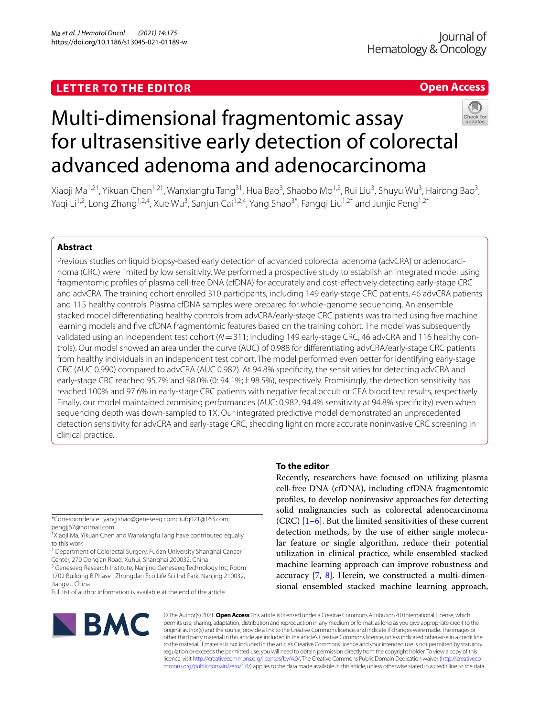# **LETTER TO THE EDITOR**

# **Open Access**

# Multi-dimensional fragmentomic assay for ultrasensitive early detection of colorectal advanced adenoma and adenocarcinoma

Xiaoji Ma<sup>1,2†</sup>, Yikuan Chen<sup>1,2†</sup>, Wanxiangfu Tang<sup>3†</sup>, Hua Bao<sup>3</sup>, Shaobo Mo<sup>1,2</sup>, Rui Liu<sup>3</sup>, Shuyu Wu<sup>3</sup>, Hairong Bao<sup>3</sup>, Yaqi Li<sup>1,2</sup>, Long Zhang<sup>1,2,4</sup>, Xue Wu<sup>3</sup>, Sanjun Cai<sup>1,2,4</sup>, Yang Shao<sup>3\*</sup>, Fangqi Liu<sup>1,2\*</sup> and Junjie Peng<sup>1,2\*</sup>

## **Abstract**

Previous studies on liquid biopsy-based early detection of advanced colorectal adenoma (advCRA) or adenocarcinoma (CRC) were limited by low sensitivity. We performed a prospective study to establish an integrated model using fragmentomic profles of plasma cell-free DNA (cfDNA) for accurately and cost-efectively detecting early-stage CRC and advCRA. The training cohort enrolled 310 participants, including 149 early-stage CRC patients, 46 advCRA patients and 115 healthy controls. Plasma cfDNA samples were prepared for whole-genome sequencing. An ensemble stacked model diferentiating healthy controls from advCRA/early-stage CRC patients was trained using fve machine learning models and fve cfDNA fragmentomic features based on the training cohort. The model was subsequently validated using an independent test cohort ( $N=311$ ; including 149 early-stage CRC, 46 advCRA and 116 healthy controls). Our model showed an area under the curve (AUC) of 0.988 for diferentiating advCRA/early-stage CRC patients from healthy individuals in an independent test cohort. The model performed even better for identifying early-stage CRC (AUC 0.990) compared to advCRA (AUC 0.982). At 94.8% specifcity, the sensitivities for detecting advCRA and early-stage CRC reached 95.7% and 98.0% (0: 94.1%; I: 98.5%), respectively. Promisingly, the detection sensitivity has reached 100% and 97.6% in early-stage CRC patients with negative fecal occult or CEA blood test results, respectively. Finally, our model maintained promising performances (AUC: 0.982, 94.4% sensitivity at 94.8% specifcity) even when sequencing depth was down-sampled to 1X. Our integrated predictive model demonstrated an unprecedented detection sensitivity for advCRA and early-stage CRC, shedding light on more accurate noninvasive CRC screening in clinical practice.

\*Correspondence: yang.shao@geneseeq.com; liufq021@163.com; pengjj67@hotmail.com

<sup>3</sup> Geneseeq Research Institute, Nanjing Geneseeq Technology Inc, Room 1702 Building B Phase I Zhongdan Eco Life Sci Ind Park, Nanjing 210032, Jiangsu, China

Full list of author information is available at the end of the article

# BMC

### **To the editor**

Recently, researchers have focused on utilizing plasma cell-free DNA (cfDNA), including cfDNA fragmentomic profles, to develop noninvasive approaches for detecting solid malignancies such as colorectal adenocarcinoma  $(CRC)$  [[1](#page-3-0)[–6](#page-3-1)]. But the limited sensitivities of these current detection methods, by the use of either single molecular feature or single algorithm, reduce their potential utilization in clinical practice, while ensembled stacked machine learning approach can improve robustness and accuracy [[7,](#page-3-2) [8\]](#page-3-3). Herein, we constructed a multi-dimensional ensembled stacked machine learning approach,

© The Author(s) 2021. **Open Access** This article is licensed under a Creative Commons Attribution 4.0 International License, which permits use, sharing, adaptation, distribution and reproduction in any medium or format, as long as you give appropriate credit to the original author(s) and the source, provide a link to the Creative Commons licence, and indicate if changes were made. The images or other third party material in this article are included in the article's Creative Commons licence, unless indicated otherwise in a credit line to the material. If material is not included in the article's Creative Commons licence and your intended use is not permitted by statutory regulation or exceeds the permitted use, you will need to obtain permission directly from the copyright holder. To view a copy of this licence, visit [http://creativecommons.org/licenses/by/4.0/.](http://creativecommons.org/licenses/by/4.0/) The Creative Commons Public Domain Dedication waiver ([http://creativeco](http://creativecommons.org/publicdomain/zero/1.0/) [mmons.org/publicdomain/zero/1.0/](http://creativecommons.org/publicdomain/zero/1.0/)) applies to the data made available in this article, unless otherwise stated in a credit line to the data.

<sup>†</sup> Xiaoji Ma, Yikuan Chen and Wanxiangfu Tang have contributed equally to this work

<sup>&</sup>lt;sup>1</sup> Department of Colorectal Surgery, Fudan University Shanghai Cancer Center, 270 Dong'an Road, Xuhui, Shanghai 200032, China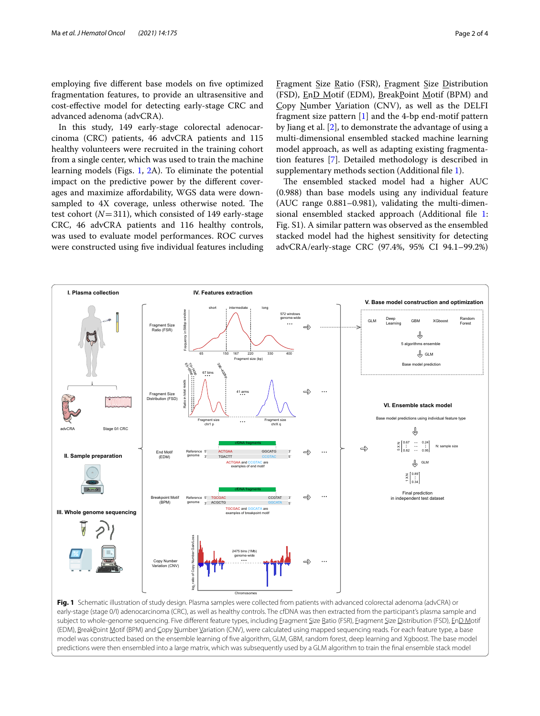employing fve diferent base models on fve optimized fragmentation features, to provide an ultrasensitive and cost-efective model for detecting early-stage CRC and advanced adenoma (advCRA).

In this study, 149 early-stage colorectal adenocarcinoma (CRC) patients, 46 advCRA patients and 115 healthy volunteers were recruited in the training cohort from a single center, which was used to train the machine learning models (Figs. [1,](#page-1-0) [2A](#page-2-0)). To eliminate the potential impact on the predictive power by the diferent coverages and maximize afordability, WGS data were downsampled to 4X coverage, unless otherwise noted. The test cohort  $(N=311)$ , which consisted of 149 early-stage CRC, 46 advCRA patients and 116 healthy controls, was used to evaluate model performances. ROC curves were constructed using fve individual features including Fragment Size Ratio (FSR), Fragment Size Distribution (FSD), EnD Motif (EDM), BreakPoint Motif (BPM) and Copy Number Variation (CNV), as well as the DELFI fragment size pattern [[1\]](#page-3-0) and the 4-bp end-motif pattern by Jiang et al. [[2\]](#page-3-4), to demonstrate the advantage of using a multi-dimensional ensembled stacked machine learning model approach, as well as adapting existing fragmentation features [[7\]](#page-3-2). Detailed methodology is described in supplementary methods section (Additional file [1\)](#page-3-5).

The ensembled stacked model had a higher AUC (0.988) than base models using any individual feature (AUC range 0.881–0.981), validating the multi-dimensional ensembled stacked approach (Additional fle [1](#page-3-5): Fig. S1). A similar pattern was observed as the ensembled stacked model had the highest sensitivity for detecting advCRA/early-stage CRC (97.4%, 95% CI 94.1–99.2%)



<span id="page-1-0"></span>**Fig. 1** Schematic illustration of study design. Plasma samples were collected from patients with advanced colorectal adenoma (advCRA) or early-stage (stage 0/I) adenocarcinoma (CRC), as well as healthy controls. The cfDNA was then extracted from the participant's plasma sample and subject to whole-genome sequencing. Five different feature types, including Eragment Size Ratio (FSR), Eragment Size Distribution (FSD), EnD Motif (EDM), BreakPoint Motif (BPM) and Copy Number Variation (CNV), were calculated using mapped sequencing reads. For each feature type, a base model was constructed based on the ensemble learning of fve algorithm, GLM, GBM, random forest, deep learning and Xgboost. The base model predictions were then ensembled into a large matrix, which was subsequently used by a GLM algorithm to train the fnal ensemble stack model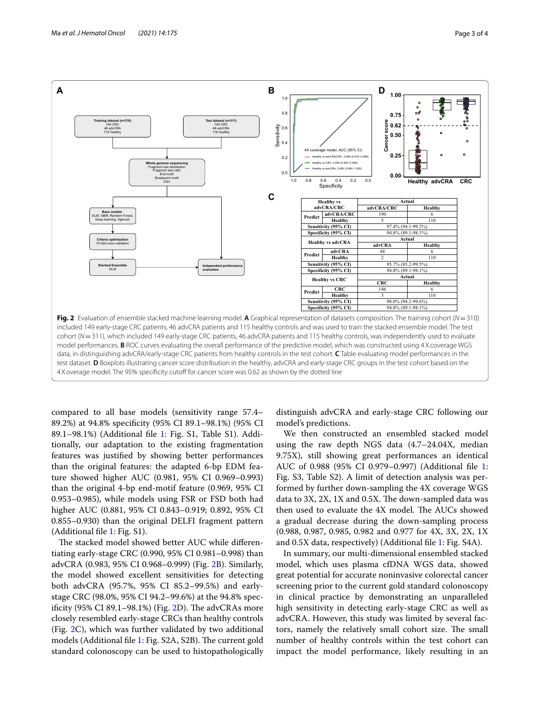

<span id="page-2-0"></span>compared to all base models (sensitivity range 57.4– 89.2%) at 94.8% specifcity (95% CI 89.1–98.1%) (95% CI 89.1–98.1%) (Additional fle [1:](#page-3-5) Fig. S1, Table S1). Additionally, our adaptation to the existing fragmentation features was justifed by showing better performances than the original features: the adapted 6-bp EDM feature showed higher AUC (0.981, 95% CI 0.969–0.993) than the original 4-bp end-motif feature (0.969, 95% CI 0.953–0.985), while models using FSR or FSD both had higher AUC (0.881, 95% CI 0.843–0.919; 0.892, 95% CI 0.855–0.930) than the original DELFI fragment pattern (Additional fle [1](#page-3-5): Fig. S1).

The stacked model showed better AUC while differentiating early-stage CRC (0.990, 95% CI 0.981–0.998) than advCRA (0.983, 95% CI 0.968–0.999) (Fig. [2](#page-2-0)B). Similarly, the model showed excellent sensitivities for detecting both advCRA (95.7%, 95% CI 85.2–99.5%) and earlystage CRC (98.0%, 95% CI 94.2–99.6%) at the 94.8% spec-ificity (95% CI 89.1–98.1%) (Fig. [2](#page-2-0)D). The advCRAs more closely resembled early-stage CRCs than healthy controls (Fig. [2C](#page-2-0)), which was further validated by two additional models (Additional file [1:](#page-3-5) Fig. S2A, S2B). The current gold standard colonoscopy can be used to histopathologically distinguish advCRA and early-stage CRC following our model's predictions.

We then constructed an ensembled stacked model using the raw depth NGS data (4.7–24.04X, median 9.75X), still showing great performances an identical AUC of 0.988 (95% CI 0.979–0.997) (Additional fle [1](#page-3-5): Fig. S3, Table S2). A limit of detection analysis was performed by further down-sampling the 4X coverage WGS data to  $3X$ ,  $2X$ ,  $1X$  and  $0.5X$ . The down-sampled data was then used to evaluate the 4X model. The AUCs showed a gradual decrease during the down-sampling process (0.988, 0.987, 0.985, 0.982 and 0.977 for 4X, 3X, 2X, 1X and 0.5X data, respectively) (Additional fle [1](#page-3-5): Fig. S4A).

In summary, our multi-dimensional ensembled stacked model, which uses plasma cfDNA WGS data, showed great potential for accurate noninvasive colorectal cancer screening prior to the current gold standard colonoscopy in clinical practice by demonstrating an unparalleled high sensitivity in detecting early-stage CRC as well as advCRA. However, this study was limited by several factors, namely the relatively small cohort size. The small number of healthy controls within the test cohort can impact the model performance, likely resulting in an